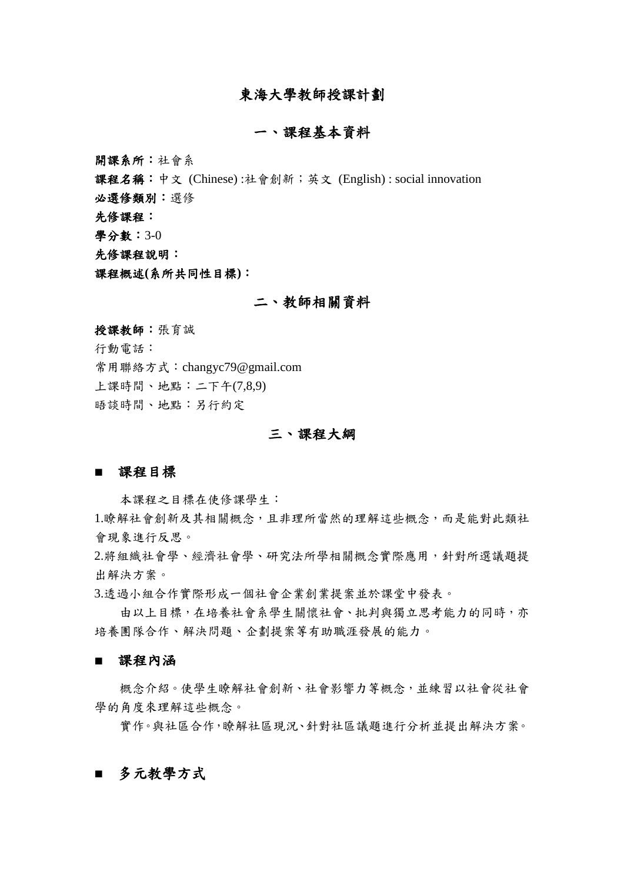## 東海大學教師授課計劃

## 一、課程基本資料

開課系所:社會系

課程名稱:中文 (Chinese) :社會創新;英文 (English) : social innovation

必選修類別:選修

先修課程:

學分數:3-0

先修課程說明:

課程概述**(**系所共同性目標**)**:

#### 二、教師相關資料

授課教師:張育誠

行動電話:

常用聯絡方式:changyc79@gmail.com

上課時間、地點:二下午(7,8,9)

晤談時間、地點:另行約定

## 三、課程大綱

#### ■ 課程目標

本課程之目標在使修課學生:

1.瞭解社會創新及其相關概念,且非理所當然的理解這些概念,而是能對此類社 會現象進行反思。

2.將組織社會學、經濟社會學、研究法所學相關概念實際應用,針對所選議題提 出解決方案。

3.透過小組合作實際形成一個社會企業創業提案並於課堂中發表。

由以上目標,在培養社會系學生關懷社會、批判與獨立思考能力的同時,亦 培養團隊合作、解決問題、企劃提案等有助職涯發展的能力。

■ 課程內涵

概念介紹。使學生瞭解社會創新、社會影響力等概念,並練習以社會從社會 學的角度來理解這些概念。

實作。與社區合作,瞭解社區現況、針對社區議題進行分析並提出解決方案。

## **■** 多元教學方式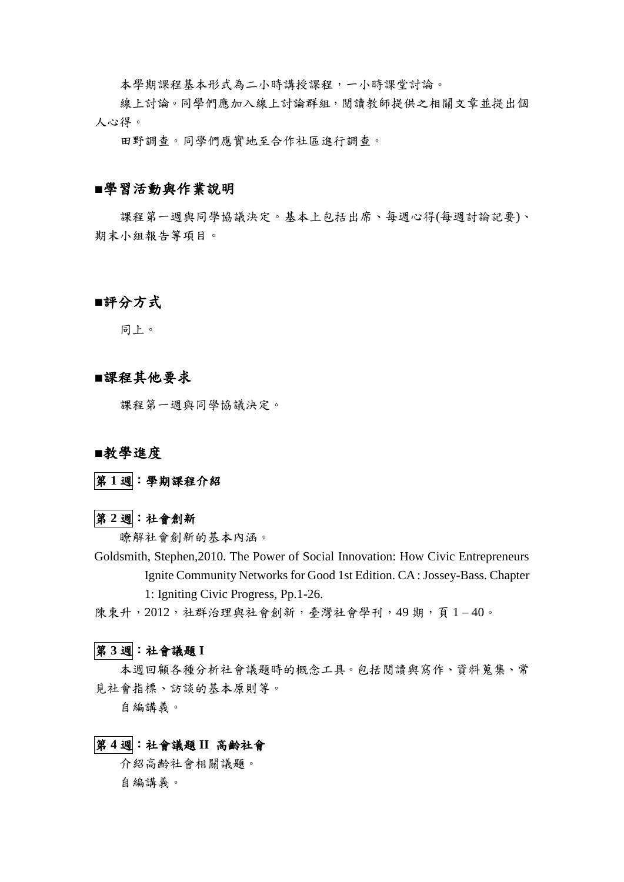本學期課程基本形式為二小時講授課程,一小時課堂討論。

線上討論。同學們應加入線上討論群組,閱讀教師提供之相關文章並提出個 人心得。

田野調查。同學們應實地至合作社區進行調查。

#### **■**學習活動與作業說明

課程第一週與同學協議決定。基本上包括出席、每週心得(每週討論記要)、 期末小組報告等項目。

# ■評分方式

同上。

## ■課程其他要求

課程第一週與同學協議決定。

### **■**教學進度

第 **1** 週:學期課程介紹

#### 第 **2** 週:社會創新

瞭解社會創新的基本內涵。

Goldsmith, Stephen,2010. The Power of Social Innovation: How Civic Entrepreneurs Ignite Community Networks for Good 1st Edition. CA : Jossey-Bass. Chapter 1: Igniting Civic Progress, Pp.1-26.

陳東升, 2012, 社群治理與社會創新,臺灣社會學刊, 49期, 頁1-40。

## 第 **3** 週:社會議題 **I**

本週回顧各種分析社會議題時的概念工具。包括閱讀與寫作、資料蒐集、常 見社會指標、訪談的基本原則等。

自編講義。

#### 第 **4** 週:社會議題 **II** 高齡社會

介紹高齡社會相關議題。 自編講義。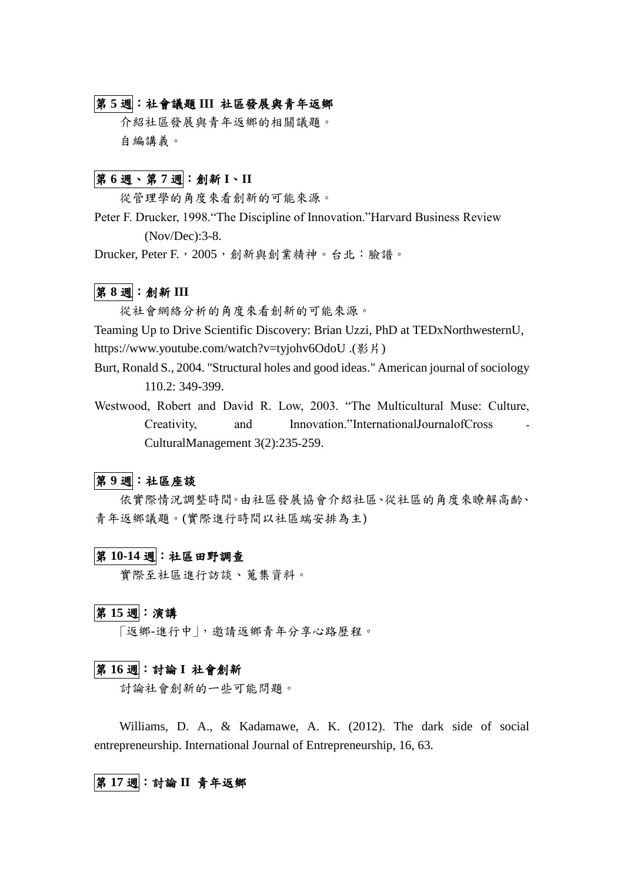# 第 **5** 週:社會議題 **III** 社區發展與青年返鄉

介紹社區發展與青年返鄉的相關議題。 自編講義。

# 第 **6** 週、第 **7** 週:創新 **I**、**II**

從管理學的角度來看創新的可能來源。

Peter F. Drucker, 1998."The Discipline of Innovation."Harvard Business Review (Nov/Dec):3-8.

Drucker, Peter F.,2005,創新與創業精神。台北:臉譜。

## 第 **8** 週:創新 **III**

從社會網絡分析的角度來看創新的可能來源。

Teaming Up to Drive Scientific Discovery: Brian Uzzi, PhD at TEDxNorthwesternU, https://www.youtube.com/watch?v=tyjohv6OdoU .(影片)

- Burt, Ronald S., 2004. "Structural holes and good ideas." American journal of sociology 110.2: 349-399.
- Westwood, Robert and David R. Low, 2003. "The Multicultural Muse: Culture, Creativity, and Innovation."InternationalJournalofCross CulturalManagement 3(2):235‐259.

## 第 **9** 週:社區座談

依實際情況調整時間。由社區發展協會介紹社區、從社區的角度來瞭解高齡、 青年返鄉議題。(實際進行時間以社區端安排為主)

# 第 **10-14** 週:社區田野調查

實際至社區進行訪談、蒐集資料。

#### 第 **15** 週:演講

「返鄉-進行中」,邀請返鄉青年分享心路歷程。

# 第 **16** 週:討論 **I** 社會創新

討論社會創新的ㄧ些可能問題。

Williams, D. A., & Kadamawe, A. K. (2012). The dark side of social entrepreneurship. International Journal of Entrepreneurship, 16, 63.

## 第 **17** 週:討論 **II** 青年返鄉